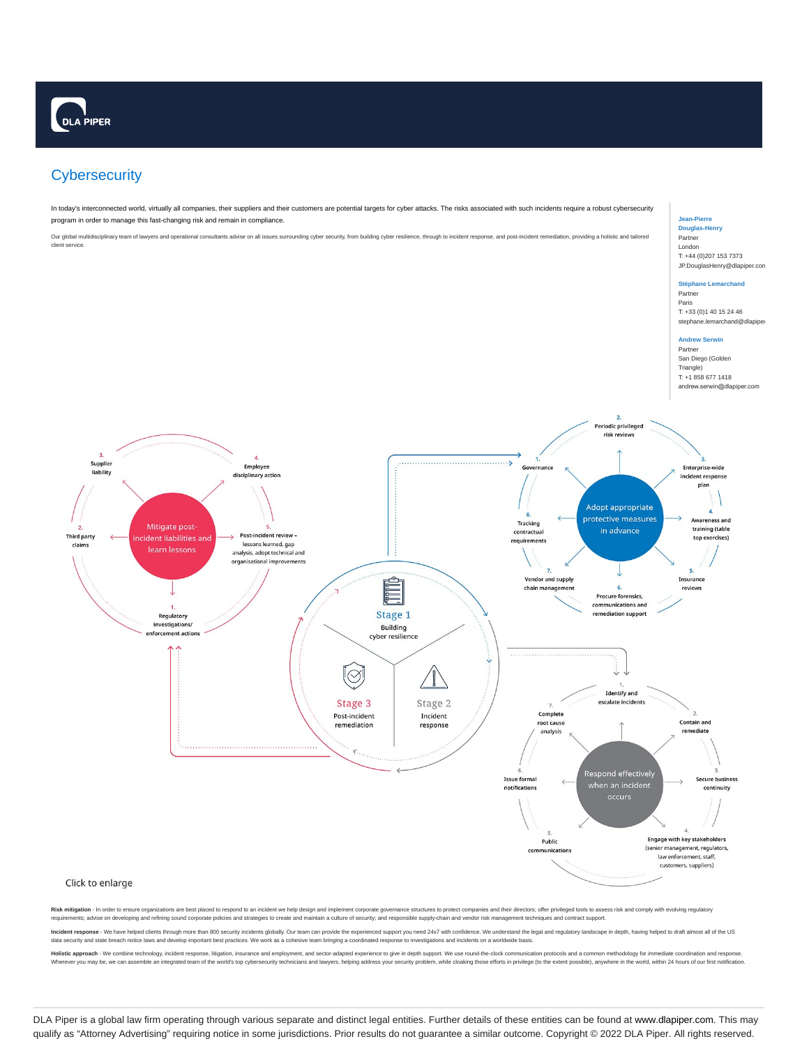# **Cybersecurity**

In today's interconnected world, virtually all companies, their suppliers and their customers are potential targets for cyber attacks. The risks associated with such incidents require a robust cybersecurity program in order to manage this fast-changing risk and remain in compliance.

Our global multidisciplinary team of lawyers and operational consultants advise on all issues surrounding cyber security, from building cyber resilience, through to incident response, and post-incident remediation, providi client service.

#### **Jean-Pierre Douglas-Henry** Partner London

T: +44 (0)207 153 7373 JP.DouglasHenry@dlapiper.com

#### **Stéphane Lemarchand** Partner Paris

T: +33 (0)1 40 15 24 46 stephane.lemarchand@dlapipe

#### **Andrew Serwin** Partner

San Diego (Golden Triangle) T: +1 858 677 1418 andrew.serwin@dlapiper.com



Risk mitigation - In order to ensure organizations are best placed to respond to an incident we help design and implement corporate governance structures to protect companies and their directors; offer privileged tools to requirements; advise on developing and refining sound corporate policies and strategies to create and maintain a culture of security; and responsible supply-chain and vendor risk management techniques and contract support.

Incident response - We have helped clients through more than 800 security incidents globally. Our team can provide the experienced support you need 24x7 with confidence. We understand the legal and regulatory landscape in data security and state breach notice laws and develop important best practices. We work as a cohesive team bringing a coordinated response to investigations and incidents on a worldwide basis.

Holistic approach - We combine technology, incident response, litigation, insurance and employment, and sector-adapted experience to give in depth support. We use round-the-clock communication protocols and a common method Wherever you may be, we can assemble an integrated team of the world's top cybersecurity technicians and lawyers, helping address your security problem, while cloaking those efforts in privilege (to the extent possible), a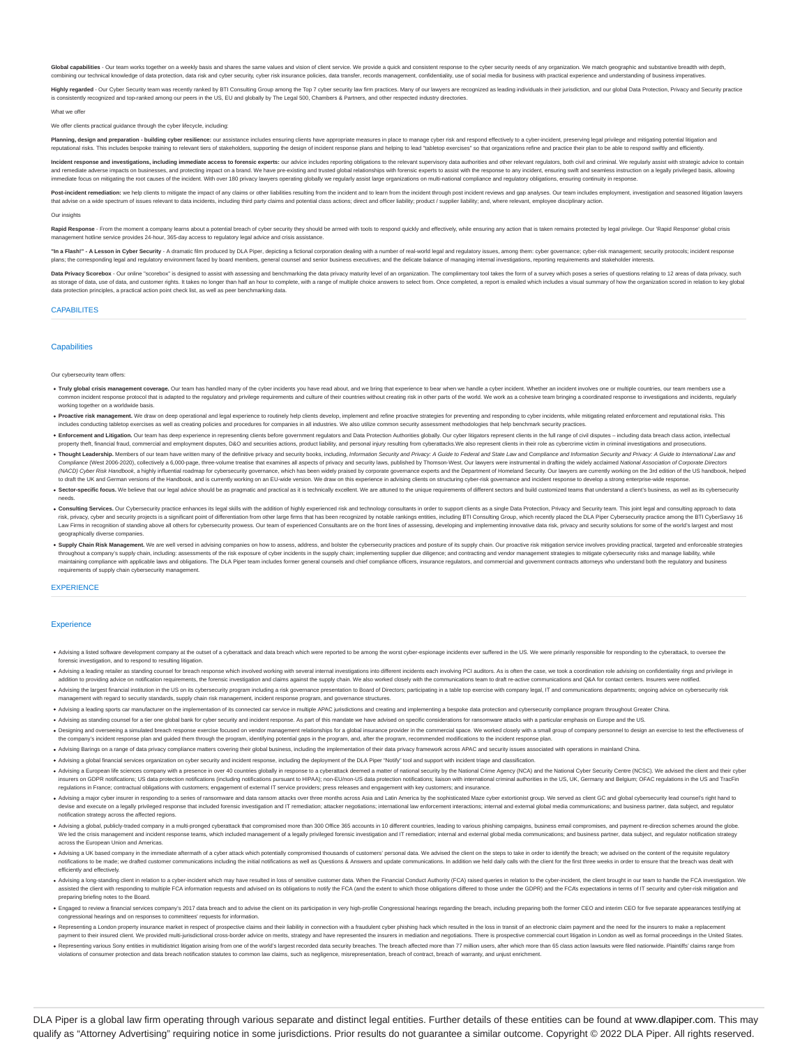Global capabilities - Our team works together on a weekly basis and shares the same values and vision of client service. We provide a quick and consistent response to the cyber security needs of any organization. We match combining our technical knowledge of data protection, data risk and cyber security, cyber risk insurance policies, data transfer, records management, confidentiality, use of social media for business with practical experie

Highly regarded - Our Cyber Security team was recently ranked by BTI Consulting Group among the Top 7 cyber security law firm practices. Many of our lawyers are recognized as leading individuals in their jurisdiction, and ently recognized and top-ranked among our peers in the US, EU and globally by The Legal 500, Chambers & Partners, and other respected industry directories

What we offer

#### We offer clients practical guidance through the cyber lifecycle, incl

Planning, design and preparation - building cyber resilience: our assistance includes ensuring clients have appropriate measures in place to manage cyber risk and respond effectively to a cyber-incident, preserving legal p reputational risks. This includes bespoke training to relevant tiers of stakeholders, supporting the design of incident response plans and helping to lead "tabletop exercises" so that organizations refine and practice thei

Incident response and investigations, including immediate access to forensic experts: our advice includes reporting obligations to the relevant supervisory data authorities and other relevant regulators, both civil and cri .<br>Ies, and protecting impact on a brand. We have pre-existing and trusted global relationships with forensic experts to assist with the response to any incident, ensuring swift and seamless instru immediate focus on mitigating the root causes of the incident. With over 180 privacy lawyers operating globally we regularly assist large organizations on multi-national compliance and regulatory obligations, ensuring cont

Post-incident remediation: we help clients to mitigate the impact of any claims or other liabilities resulting from the incident and to learn from the incident through post incident treviews and gap analyses. Our team incl that advise on a wide spectrum of issues relevant to data incidents, including third party claims and potential class actions: direct and officer liability: product / supplier liability: and, where relevant, employee disci

#### Our insights

Rapid Response - From the moment a company learns about a potential breach of cyber security they should be armed with tools to respond quickly and effectively, while ensuring any action that is taken remains protected by nagement hotline service provides 24-hour, 365-day access to regulatory legal advice and crisis assistance.

"In a Flash!" - A Lesson in Cyber Security - A dramatic film produced by DLA Piper, depicting a fictional corporation dealing with a number of real-world legal and regulatory issues, among them: cyber governance; cyber-ris plans: the corresponding legal and regulatory environment faced by board members, general counsel and senior business executives: and the delicate balance of managing internal investigations, reporting requirements and sta

Data Privacy Scorebox - Our online "scorebox" is designed to assist with assessing and benchmarking the data privacy maturity level of an organization. The complimentary tool takes the form of a survey which poses a series as storage of data, use of data, and customer rights. It takes no longer than half an hour to complete, with a range of multiple choice answers to select from. Once completed, a report is emailed which includes a visual su data protection principles, a practical action point check list, as well as peer benchmarking data.

### CAPABILITES

### **Canabilities**

Our cybersecurity team offers:

- . Truly global crisis management coverage. Our team has handled many of the cyber incidents you have read about, and we bring that experience to bear when we handle a cyber incident. Whether an incident involves one or mul -<br>adapted to the regulatory and privilege requirements and culture of their countries without creating risk in other parts of the world. We work as a cohesive team bringing a coordina working together on a worldwide basis.
- . Proactive risk management. We draw on deep operational and legal experience to routinely help clients develop, implement and refine proactive strategies for preventing and responding to cyber incidents, while mitigating includes conducting tabletop exercises as well as creating policies and procedures for companies in all industries. We also utilize common security assessment methodologies that help benchmark security practices.
- . Enforcement and Litigation. Our team has deep experience in representing clients before government regulators and Data Protection Authorities globally. Our cyber litigators represent clients in the full range of civil di property theft, financial fraud, commercial and employment disputes, D&O and securities actions, product liability, and personal injury resulting from cyberattacks. We also represent clients in their role as cybercrime vic
- . Thought Leadership. Members of our team have written many of the definitive privacy and security books, including, Information Security and Privacy: A Guide to Federal and State Law and Compliance and Information Securit Compliance (West 2005-2020), collectively a 6,000-page, three-volume treatise that examines all aspects of privacy and security laws, published by Thormson-West. Our lawyers were instrumental in dratting the widely applian to draft the UK and German versions of the Handbook, and is currently working on an EU-wide version. We draw on this experience in advising clients on structuring cyber-risk governance and incident response to develop a st
- . Sector-specific focus. We believe that our legal advice should be as pragmatic and practical as it is technically excellent. We are attuned to the unique requirements of different sectors and build customized teams that needs.
- . Consulting Services. Our Cybersecurity practice enhances its legal skills with the addition of highly experienced risk and technology consultants in order to support clients as a single Data Protection, Privacy and Secur risk, privacy, cyber and security projects is a significant point of differentiation from other large firms that has been recognized by notable rankings entities, including BTI Consulting Group, which recently placed the D Law Firms in recognition of standing above all others for cybersecurity provess. Our team of experienced Consultants are on the front lines of assessing, developing and implementing innovative data risk, privacy and securi geographically diverse companies.
- . Supply Chain Risk Management. We are well versed in advising companies on how to assess, address, and bolster the cybersecurity practices and posture of its supply chain. Our proactive risk mitigation service involves pr throughout a company's supply chain, including: assessments of the risk exposure of cyber incidents in the supply chain; implementing supplier due diligence; and contracting and vendor management strategies to mitigate cyb requirements of supply chain cybersecurity management.

#### **EXPERIENCE**

#### **Experience**

- Advising a listed software development company at the outset of a cyberattack and data breach which were reported to be among the worst cyber-espionage incidents ever suffered in the US. We were primarily responsible for r forensic investigation, and to respond to resulting litigation.
- Advising a leading retailer as standing counsel for breach response which involved working with several internal investigations into different incidents each involving PCI auditors. As is often the case, we took a coordina addition to providing advice on notification requirements, the forensic investigation and claims against the supply chain. We also worked closely with the communications team to draft re-active communications and Q&A for c
- .<br>Advising the largest financial institution in the US on its cybersecurity program including a risk governance presentation to Board of Directors; participating in a table top exercise with company legal, IT and communica ent with regard to security standards, supply chain risk management, incident response program, and governance structures
- . Advising a leading sports car manufacturer on the implementation of its connected car service in multiple APAC iurisdictions and creating and implementing a bespoke data protection and cybersecurity compliance program th
- . Advising as standing counsel for a tier one global bank for cyber security and incident response. As part of this mandate we have advised on specific considerations for ransomware attacks with a particular emphasis on Eu
- Designing and overseeing a simulated breach response exercise focused on vendor management relationships for a global insurance provider in the commercial space. We worked doesly with a small group of company personnel to
- . Advising Barings on a range of data privacy compliance matters covering their global business, including the implementation of their data privacy framework across APAC and security issues associated with opera
- . Advising a global financial services organization on cyber security and incident response, including the deployment of the DLA Piper "Notify" tool and support with incident triage and classificat
- . Advising a European life sciences company with a presence in over 40 countries globally in response to a cyberattack deemed a matter of national security by the National Crime Agency (NCA) and the National Cyber Security insurers on GDPR notifications: US data protection notifications (including notifications pursuant to HIPAA): non-EU/non-US data protection notifications: liaison with international criminal authorities in the US. UK. Germ regulations in France; contractual obligations with customers; engagement of external IT service providers; press releases and engagement with key customers; and insurance.
- . Advising a major cyber insurer in responding to a series of ransomware and data ransom attacks over three months across Asia and Latin America by the sophisticated Maze cyber extortionist group. We served as client GC an devise and execute on a legally privileged response that included forensic investigation and IT remediation; attacker negotiations; international law enforcement interactions; internal and external global media communicati notification strategy across the affected regi
- . Advising a global, publicly-traded company in a multi-pronged cyberattack that compromised more than 300 Office 365 accounts in 10 different countries, leading to various phishing campaigns, business email compromises, a We led the crisis management and incident response teams, which included management of a legally privileged forensic investigation and IT remediation; internal and external global media communications; and business partner across the European Union and Americas.
- . Advision a UK based company in the immediate aftermath of a cyber attack which potentially compromised thousands of customers' personal data. We advised the client on the steps to take in order to identify the breach: we notifications to be made; we drafted customer communications including the initial notifications as well as Questions & Answers and update communications. In addition we held daily calls with the client for the first three efficiently and effectively.
- . Advising a long-standing client in relation to a cyber-incident which may have resulted in loss of sensitive customer data. When the Financial Conduct Authority (FCA) raised queries in relation to the cyber-incident, the ted the client with responding to multiple FCA information requests and advised on its obligations to notify the FCA (and the extent to which those obligations differed to those under the GDPR) and the FCA's expectations i preparing briefing notes to the Board.
- . Engaged to review a financial services company's 2017 data breach and to advise the client on its participation in very high-profile Congressional hearings regarding the breach, including preparing both the former CEO an ssional hearings and on responses to committees' requests for infor
- Representing a London property insurance market in respect of prospective claims and their liability in connection with a fraudulent cyber phishing hack which resulted in the loss in transit of an electronic claim payment payment to their insured client. We provided multi-jurisdictional cross-border advice on merits, strategy and have represented the insurers in mediation and negotiations. There is prospective commercial court litigation in
- . Representing various Sony entities in multidistrict litigation arising from one of the world's largest recorded data security breaches. The breach affected more than 77 million users, after which more than 65 class actio violations of consumer protection and data breach notification statutes to common law claims, such as negligence, misrepresentation, breach of contract, breach of warranty, and unjust enrich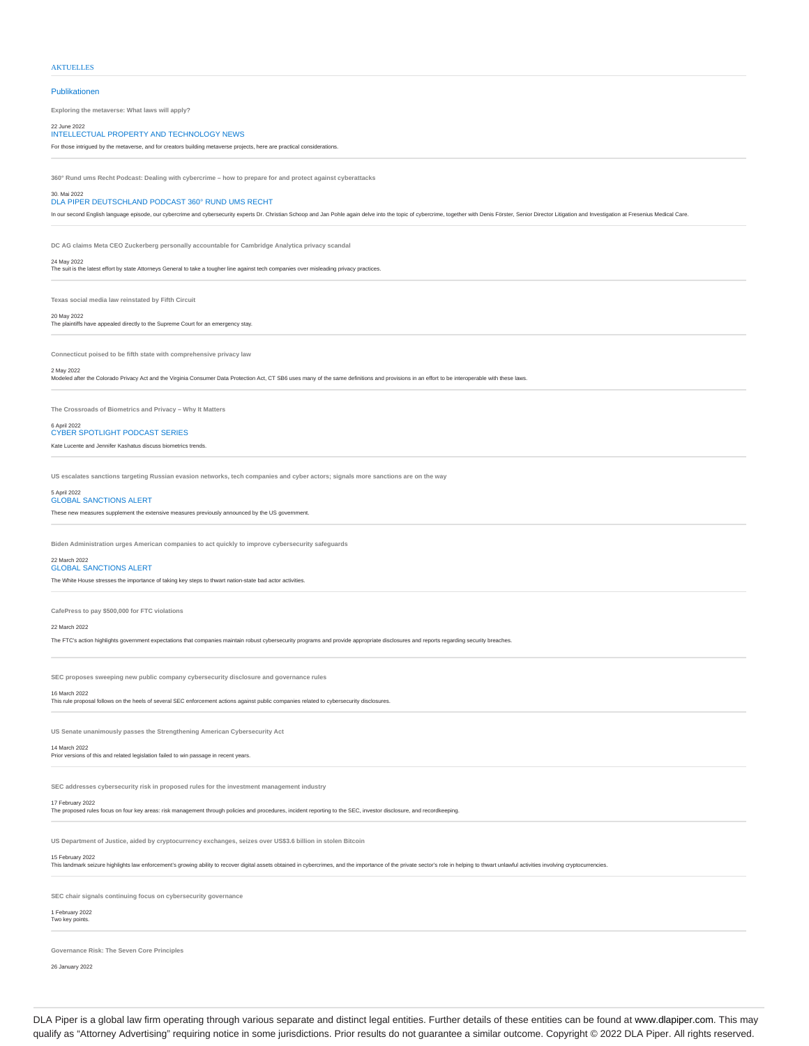#### **AKTUELLES**

Publikationen

**Exploring the metaverse: What laws will apply?**

## 22 June 2022 INTELLECTUAL PROPERTY AND TECHNOLOGY NEWS

For those intrigued by the metaverse, and for creators building metaverse projects, here are practical considerations.

**360° Rund ums Recht Podcast: Dealing with cybercrime – how to prepare for and protect against cyberattacks**

#### 30. Mai 2022 DLA PIPER DEUTSCHLAND PODCAST 360° RUND UMS RECHT

In our second English language episode, our cybercrime and cybersecurity experts Dr. Christian Schoop and Jan Pohle again delve into the topic of cybercrime, together with Denis Förster, Senior Director Litigation and Inve

**DC AG claims Meta CEO Zuckerberg personally accountable for Cambridge Analytica privacy scandal**

#### 24 May 2022

The suit is the latest effort by state Attorneys General to take a tougher line against tech companies over misleading privacy practices.

**Texas social media law reinstated by Fifth Circuit**

20 May 2022 The plaintiffs have appealed directly to the Supreme Court for an emergency stay.

**Connecticut poised to be fifth state with comprehensive privacy law**

#### 2 May 2022

Modeled after the Colorado Privacy Act and the Virginia Consumer Data Protection Act, CT SB6 uses many of the same definitions and provisions in an effort to be interoperable with these laws

**The Crossroads of Biometrics and Privacy – Why It Matters**

## 6 April 2022<br>CYBER SPOTLIGHT PODCAST SERIES

Kate Lucente and Jennifer Kashatus discuss biometrics trends.

**US escalates sanctions targeting Russian evasion networks, tech companies and cyber actors; signals more sanctions are on the way**

## 5 April 2022<br>GLOBAL SANCTIONS ALERT

These new measures supplement the extensive measures previously announced by the US government.

**Biden Administration urges American companies to act quickly to improve cybersecurity safegi** 

## 22 March 2022<br>GLOBAL SANCTIONS ALERT

The White House stresses the importance of taking key steps to thwart nation-state bad actor activities.

**CafePress to pay \$500,000 for FTC violations**

#### 22 March 2022

The FTC's action highlights government expectations that companies maintain robust cybersecurity programs and provide appropriate disclosures and reports regarding security bre

**SEC proposes sweeping new public company cybersecurity disclosure and governance rules**

This rule proposal follows on the heels of several SEC enforcement actions against public companies related to cybersecurity disclosures.

**US Senate unanimously passes the Strengthening American Cybersecurity Act**

#### 14 March 2022 Prior versions of this and related legislation failed to win passage in recent years.

16 March 2022

**SEC addresses cybersecurity risk in proposed rules for the investment management industry**

17 February 2022 The proposed rules focus on four key areas: risk management through policies and procedures, incident reporting to the SEC, investor disclosure, and recordkeeping.

**US Department of Justice, aided by cryptocurrency exchanges, seizes over US\$3.6 billion in stolen Bitcoin**

15 February 2022<br>This landmark seizure highlights law enforcement's growing ability to recover digital assets obtained in cybercrimes, and the importance of the private sector's role in helping to thwart unlawful activitie

**SEC chair signals continuing focus on cybersecurity governance**

## 1 February 2022

Two key po

**Governance Risk: The Seven Core Principles**

26 January 2022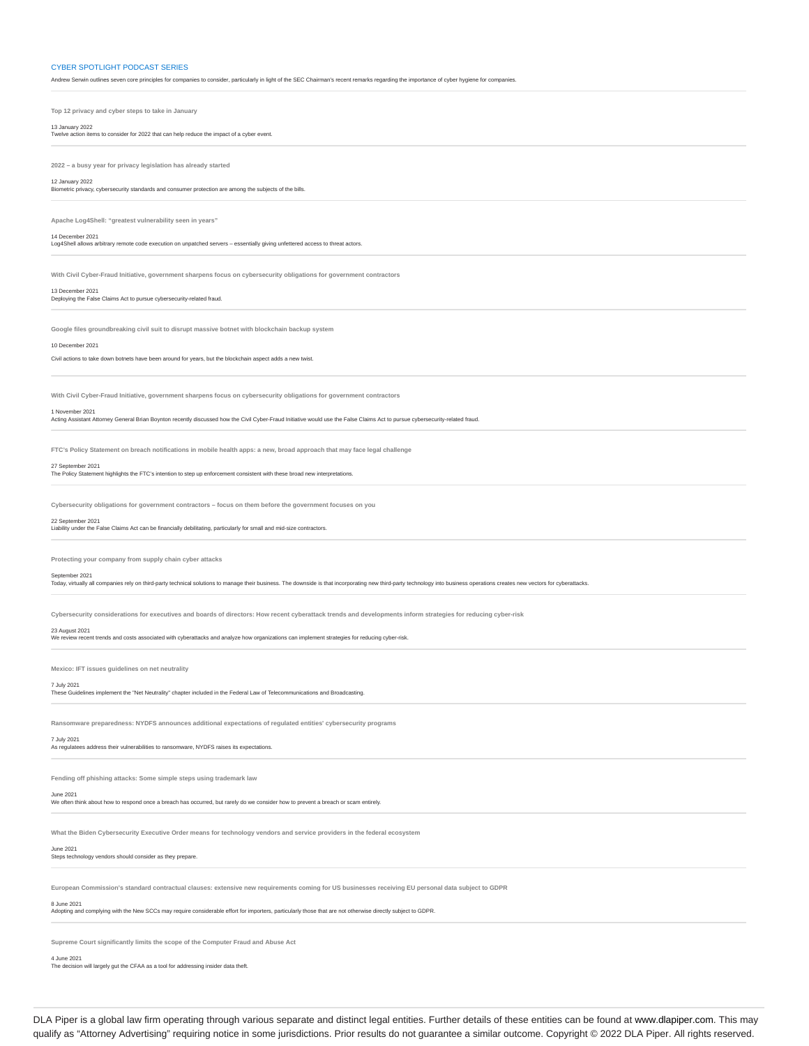#### CYBER SPOTLIGHT PODCAST SERIES

Andrew Serwin outlines seven core principles for companies to consider, particularly in light of the SEC Chairman's recent remarks regarding the importance of cyber hygiene for compa

**Top 12 privacy and cyber steps to take in January**

13 January 2022 Twelve action items to consider for 2022 that can help reduce the impact of a cyber event.

**2022 – a busy year for privacy legislation has already started**

12 January 2022 Biometric privacy, cybersecurity standards and consumer protection are among the subjects of the bills.

**Apache Log4Shell: "greatest vulnerability seen in years"**

14 December 2021<br>Log4Shell allows a

ادداد.<br>In arbitrary remote code execution on unpatched servers – essentially giving unfettered access to threat actors

**With Civil Cyber-Fraud Initiative, government sharpens focus on cybersecurity obligations for government contractors**

13 December 2021

Deploying the False Claims Act to pursue cybersecurity-related fraud.

**Google files groundbreaking civil suit to disrupt massive botnet with blockchain backup system**

#### 10 December 2021

Civil actions to take down botnets have been around for years, but the blockchain aspect adds a new twist.

**With Civil Cyber-Fraud Initiative, government sharpens focus on cybersecurity obligations for government contractors**

1 November 2021 Acting Assistant Attorney General Brian Boynton recently discussed how the Civil Cyber-Fraud Initiative would use the False Claims Act to pursue cybersecurity-related fraud.

**FTC's Policy Statement on breach notifications in mobile health apps: a new, broad approach that may face legal challenge**

27 September 2021 The Policy Statement highlights the FTC's intention to step up enforcement consistent with these broad new interpretations.

**Cybersecurity obligations for government contractors – focus on them before the government focuses on you**

#### 22 September 2021

Liability under the False Claims Act can be financially debilitating, particularly for small and mid-size contractors.

**Protecting your company from supply chain cyber attacks**

#### September 2021

Today, virtually all companies rely on third-party technical solutions to manage their business. The downside is that incorporating new third-party technology into business operations creates new vectors for cyberattacks

**Cybersecurity considerations for executives and boards of directors: How recent cyberattack trends and developments inform strategies for reducing cyber-risk**

23 August 2021<br>We review recent trends and costs associated with cyberattacks and analyze how organizations can implement strategies for reducing cyber-risk.

**Mexico: IFT issues guidelines on net neutrality**

#### 7 July 2021

These Guidelines implement the "Net Neutrality" chapter included in the Federal Law of Telecommunications and Broadcasting.

**Ransomware preparedness: NYDFS announces additional expectations of regulated entities' cybersecurity programs**

## 7 July 2021

As regulatees address their vulnerabilities to ransomware, NYDFS raises its expectations.

**Fending off phishing attacks: Some simple steps using trademark law**

#### June 2021

We often think about how to respond once a breach has occurred, but rarely do we consider how to prevent a breach or scam entirely.

**What the Biden Cybersecurity Executive Order means for technology vendors and service providers in the federal ecosystem**

## June 2021

Steps technology vendors should consider as they prepare

**European Commission's standard contractual clauses: extensive new requirements coming for US businesses receiving EU personal data subject to GDPR**

## 8 June 2021

Adopting and complying with the New SCCs may require considerable effort for importers, particularly those that are not otherwise directly subject to GDPR.

**Supreme Court significantly limits the scope of the Computer Fraud and Abuse Act**

4 June 2021 The decision will largely gut the CFAA as a tool for addressing insider data theft.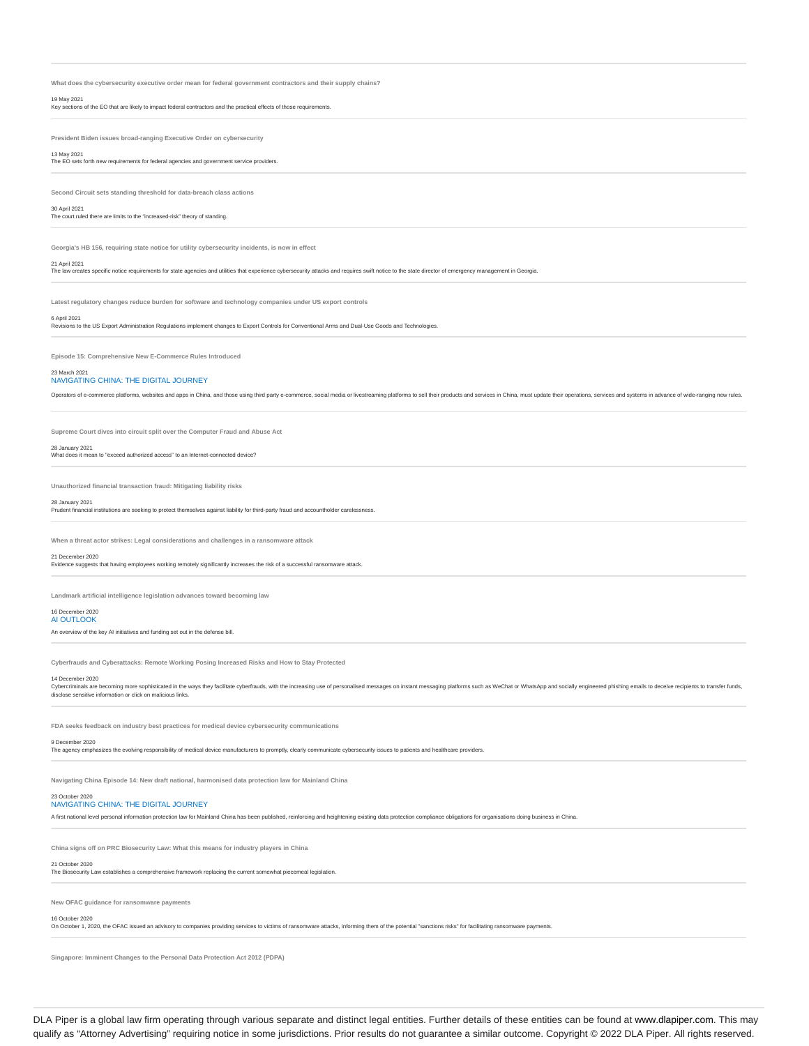What does the cybersecurity executive order mean for federal government contractors and their supply chai

19 May 2021 Key sections of the EO that are likely to impact federal contractors and the practical effects of those requirements.

**President Biden issues broad-ranging Executive Order on cybersecurity**

13 May 2021 The EO sets forth new requirements for federal agencies and government service providers.

**Second Circuit sets standing threshold for data-breach class actions**

30 April 2021 The court ruled there are limits to the "increased-risk" theory of standing.

**Georgia's HB 156, requiring state notice for utility cybersecurity incidents, is now in effect**

#### 21 April 2021

The law creates specific notice requirements for state agencies and utilities that experience cybersecurity attacks and requires swift notice to the state director of emergency management in Georgia.

**Latest regulatory changes reduce burden for software and technology companies under US export controls**

6 April 2021 Revisions to the US Export Administration Regulations implement changes to Export Controls for Conventional Arms and Dual-Use Goods and Technologies.

**Episode 15: Comprehensive New E-Commerce Rules Introduced**

## 23 March 2021<br>NAVIGATING CHINA: THE DIGITAL JOURNEY

Operators of e-commerce platforms, websites and apps in China, and those using third party e-commerce, social media or livestreaming platforms to sell their products and services in China, must update their operations, ser

**Supreme Court dives into circuit split over the Computer Fraud and Abuse Act**

#### 28 January 2021

What does it mean to "exceed authorized access" to an Internet-connected device?

**Unauthorized financial transaction fraud: Mitigating liability risks**

#### ary 2021

#### Prudent financial institutions are seeking to protect themselves against liability for third-party fraud and accountholder carelessness.

**When a threat actor strikes: Legal considerations and challenges in a ransomware attack**

21 December 2020 Evidence suggests that having employees working remotely significantly increases the risk of a successful ransomware attack.

**Landmark artificial intelligence legislation advances toward becoming law**

#### 16 December 2020 ALOUTLOOK

An overview of the key AI initiatives and funding set out in the defense bill.

**Cyberfrauds and Cyberattacks: Remote Working Posing Increased Risks and How to Stay Protected**

14 December 2020<br>Cybercriminals are becoming more sophisticated in the ways they facilitate cyberfrauds, with the increasing use of personalised messages on instant messaging platforms such as WeChat or WhatsApp and social disclose sensitive information or click on malicious links.

FDA seeks feedback on industry best practices for medical device cybersecurity communications

### 9 December 2020

The agency emphasizes the evolving responsibility of medical device manufacturers to promptly, clearly communicate cybersecurity issues to patients and healthcare providers.

**Navigating China Episode 14: New draft national, harmonised data protection law for Mainland China**

#### 23 October 2020 NAVIGATING CHINA: THE DIGITAL JOURNEY

A first national level personal information protection law for Mainland China has been published, reinforcing and heightening existing data protection compliance obligations for organisations doing business in China.

**China signs off on PRC Biosecurity Law: What this means for industry players in China**

21 October 2020 The Biosecurity Law establishes a comprehensive framework replacing the current somewhat piecemeal legislation.

**New OFAC guidance for ransomware payments**

### 16 October 2020

On October 1, 2020, the OFAC issued an advisory to companies providing services to victims of ransomware attacks, informing them of the potential "sanctions risks" for facilitating ransomware payments.

**Singapore: Imminent Changes to the Personal Data Protection Act 2012 (PDPA)**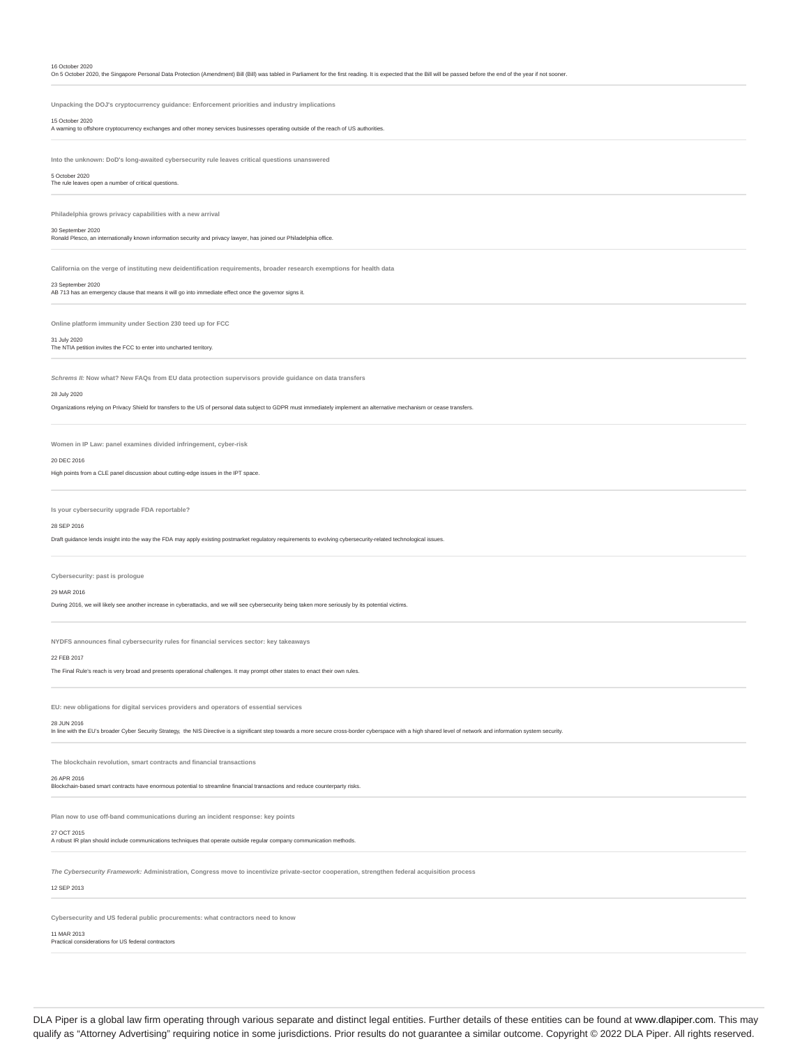| On 5 October 2020, the Singapore Personal Data Protection (Amendment) Bill (Bill) was tabled in Parliament for the first reading. It is expected that the Bill will be passed before the end of the year if not sooner.          |
|----------------------------------------------------------------------------------------------------------------------------------------------------------------------------------------------------------------------------------|
|                                                                                                                                                                                                                                  |
| Unpacking the DOJ's cryptocurrency guidance: Enforcement priorities and industry implications                                                                                                                                    |
| 15 October 2020<br>A warning to offshore cryptocurrency exchanges and other money services businesses operating outside of the reach of US authorities.                                                                          |
|                                                                                                                                                                                                                                  |
| Into the unknown: DoD's long-awaited cybersecurity rule leaves critical questions unanswered                                                                                                                                     |
| 5 October 2020<br>The rule leaves open a number of critical questions.                                                                                                                                                           |
|                                                                                                                                                                                                                                  |
| Philadelphia grows privacy capabilities with a new arrival                                                                                                                                                                       |
| 30 September 2020                                                                                                                                                                                                                |
| Ronald Plesco, an internationally known information security and privacy lawyer, has joined our Philadelphia office.                                                                                                             |
| California on the verge of instituting new deidentification requirements, broader research exemptions for health data                                                                                                            |
| 23 September 2020                                                                                                                                                                                                                |
| AB 713 has an emergency clause that means it will go into immediate effect once the governor signs it.                                                                                                                           |
|                                                                                                                                                                                                                                  |
| Online platform immunity under Section 230 teed up for FCC                                                                                                                                                                       |
| 31 July 2020<br>The NTIA petition invites the FCC to enter into uncharted territory.                                                                                                                                             |
|                                                                                                                                                                                                                                  |
| Schrems II: Now what? New FAQs from EU data protection supervisors provide guidance on data transfers                                                                                                                            |
| 28 July 2020                                                                                                                                                                                                                     |
| Organizations relying on Privacy Shield for transfers to the US of personal data subject to GDPR must immediately implement an alternative mechanism or cease transfers.                                                         |
|                                                                                                                                                                                                                                  |
| Women in IP Law: panel examines divided infringement, cyber-risk                                                                                                                                                                 |
| 20 DEC 2016                                                                                                                                                                                                                      |
| High points from a CLE panel discussion about cutting-edge issues in the IPT space.                                                                                                                                              |
|                                                                                                                                                                                                                                  |
| Is your cybersecurity upgrade FDA reportable?                                                                                                                                                                                    |
| 28 SEP 2016                                                                                                                                                                                                                      |
| Draft guidance lends insight into the way the FDA may apply existing postmarket regulatory requirements to evolving cybersecurity-related technological issues.                                                                  |
|                                                                                                                                                                                                                                  |
| Cybersecurity: past is prologue                                                                                                                                                                                                  |
| 29 MAR 2016<br>During 2016, we will likely see another increase in cyberattacks, and we will see cybersecurity being taken more seriously by its potential victims.                                                              |
|                                                                                                                                                                                                                                  |
|                                                                                                                                                                                                                                  |
| NYDFS announces final cybersecurity rules for financial services sector: key takeaways                                                                                                                                           |
| 22 FEB 2017<br>The Final Rule's reach is very broad and presents operational challenges. It may prompt other states to enact their own rules.                                                                                    |
|                                                                                                                                                                                                                                  |
|                                                                                                                                                                                                                                  |
| EU: new obligations for digital services providers and operators of essential services                                                                                                                                           |
| 28 JUN 2016<br>In line with the EU's broader Cyber Security Strategy, the NIS Directive is a significant step towards a more secure cross-border cyberspace with a high shared level of network and information system security. |
|                                                                                                                                                                                                                                  |
| The blockchain revolution, smart contracts and financial transactions                                                                                                                                                            |
| 26 APR 2016<br>Blockchain-based smart contracts have enormous potential to streamline financial transactions and reduce counterparty risks.                                                                                      |
|                                                                                                                                                                                                                                  |
| Plan now to use off-band communications during an incident response: key points                                                                                                                                                  |
| 27 OCT 2015                                                                                                                                                                                                                      |
| A robust IR plan should include communications techniques that operate outside regular company communication methods.                                                                                                            |
|                                                                                                                                                                                                                                  |
|                                                                                                                                                                                                                                  |
| The Cybersecurity Framework: Administration, Congress move to incentivize private-sector cooperation, strengthen federal acquisition process                                                                                     |
| 12 SEP 2013                                                                                                                                                                                                                      |
| Cybersecurity and US federal public procurements: what contractors need to know                                                                                                                                                  |
| 11 MAR 2013<br>Practical considerations for US federal contractors                                                                                                                                                               |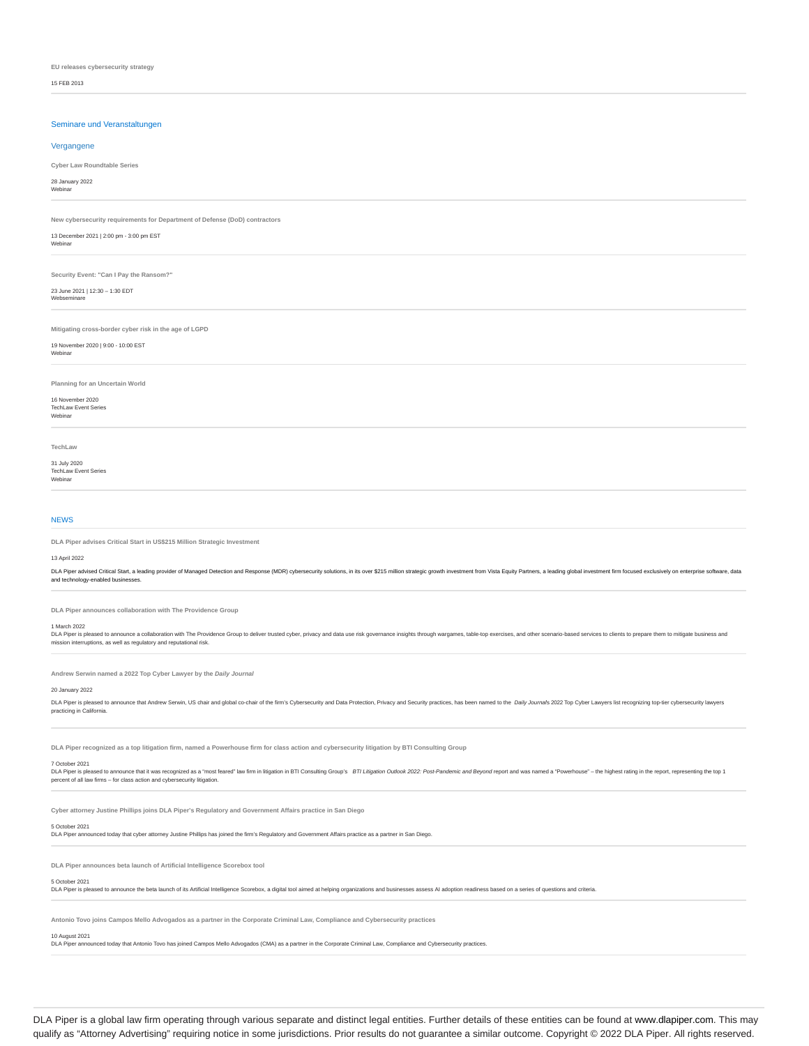**EU releases cybersecurity strategy**

15 FEB 2013

## Seminare und Veranstaltungen

## Vergangene

**Cyber Law Roundtable Series**

28 January 2022 Webinar

## **New cybersecurity requirements for Department of Defense (DoD) contractors**

13 December 2021 | 2:00 pm - 3:00 pm EST

Webinar

**Security Event: "Can I Pay the Ransom?"**

23 June 2021 | 12:30 – 1:30 EDT Webseminar

**Mitigating cross-border cyber risk in the age of LGPD**

## 19 November 2020 | 9:00 - 10:00 EST

Webinar

**Planning for an Uncertain World**

#### 16 November 2020 TechLaw Event Series

Webinar

**TechLaw**

## 31 July 2020 TechLaw Event Series

Webinar

## NEWS

**DLA Piper advises Critical Start in US\$215 Million Strategic Investment**

### 13 April 2022

DLA Piper advised Critical Start, a leading provider of Managed Detection and Response (MDR) cybersecurity solutions, in its over \$215 million strategic growth investment from Vista Equity Partners, a leading global inv and technology-enabled businesses.

**DLA Piper announces collaboration with The Providence Group**

#### 1 March 2022

" Nurvin - Local to announce a collaboration with The Providence Group to deliver trusted cyber, privacy and data use risk governance insights through wargames, table-top exercises, and other scenario-based services to cli mission interruptions, as well as regulatory and reputational risk.

**Andrew Serwin named a 2022 Top Cyber Lawyer by the Daily Journal**

#### 20 January 2022

DLA Piper is pleased to announce that Andrew Serwin, US chair and global co-chair of the firm's Cybersecurity and Data Protection, Privacy and Security practices, has been named to the Daily Journals 2022 Top Cyber Lawyers practicing in Californ

**DLA Piper recognized as a top litigation firm, named a Powerhouse firm for class action and cybersecurity litigation by BTI Consulting Group**

### 7 October 2021

DLA Piper is pleased to announce that it was recoprized as a "most feard" law firm in litigation in BTI Consulting Group's *BTI Litigation Outlook 2022: Post-Pandemic and Beyond* report and was named a "Powerhouse" – the h

**Cyber attorney Justine Phillips joins DLA Piper's Regulatory and Government Affairs practice in San Diego**

## 5 October 2021

DLA Piper announced today that cyber attorney Justine Phillips has joined the firm's Regulatory and Government Affairs practice as a partner in San Diego.

**DLA Piper announces beta launch of Artificial Intelligence Scorebox tool**

## 5 October 2021

DLA Piper is pleased to announce the beta launch of its Artificial Intelligence Scorebox, a digital tool aimed at helping organizations and businesses assess AI adoption readiness based on a series of questions and criteri

Antonio Tovo joins Campos Mello Advogados as a partner in the Corporate Criminal Law, Compliance and Cybersecurity p

### 10 August 2021

DLA Piper announced today that Antonio Tovo has joined Campos Mello Advogados (CMA) as a partner in the Corporate Criminal Law, Compliance and Cybersecurity practices.